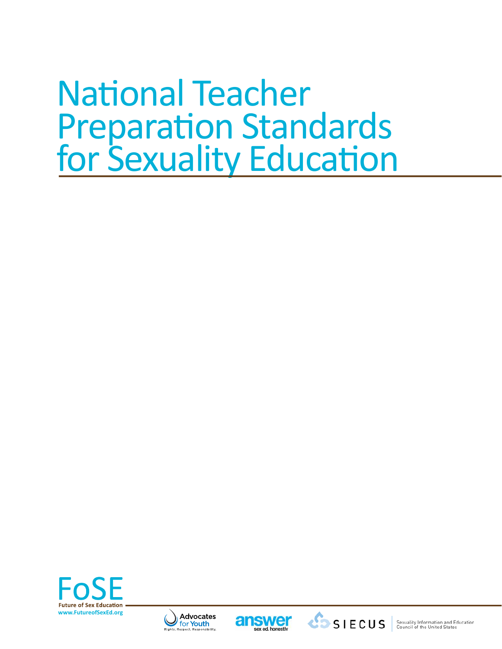# National Teacher Preparation Standards for Sexuality Education







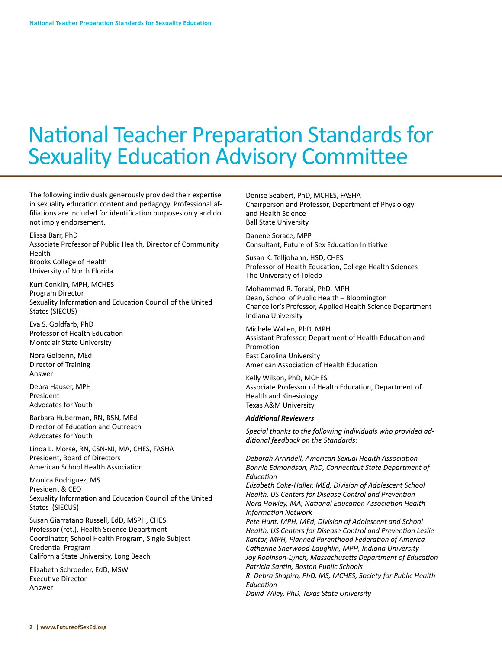# National Teacher Preparation Standards for Sexuality Education Advisory Committee

The following individuals generously provided their expertise in sexuality education content and pedagogy. Professional affiliations are included for identification purposes only and do not imply endorsement.

#### Elissa Barr, PhD

Associate Professor of Public Health, Director of Community Health Brooks College of Health University of North Florida

Kurt Conklin, MPH, MCHES Program Director Sexuality Information and Education Council of the United States (SIECUS)

Eva S. Goldfarb, PhD Professor of Health Education Montclair State University

Nora Gelperin, MEd Director of Training Answer

Debra Hauser, MPH President Advocates for Youth

Barbara Huberman, RN, BSN, MEd Director of Education and Outreach Advocates for Youth

Linda L. Morse, RN, CSN-NJ, MA, CHES, FASHA President, Board of Directors American School Health Association

Monica Rodriguez, MS President & CEO Sexuality Information and Education Council of the United States (SIECUS)

Susan Giarratano Russell, EdD, MSPH, CHES Professor (ret.), Health Science Department Coordinator, School Health Program, Single Subject Credential Program California State University, Long Beach

Elizabeth Schroeder, EdD, MSW Executive Director Answer

Denise Seabert, PhD, MCHES, FASHA Chairperson and Professor, Department of Physiology and Health Science Ball State University

Danene Sorace, MPP Consultant, Future of Sex Education Initiative

Susan K. Telljohann, HSD, CHES Professor of Health Education, College Health Sciences The University of Toledo

Mohammad R. Torabi, PhD, MPH Dean, School of Public Health – Bloomington Chancellor's Professor, Applied Health Science Department Indiana University

Michele Wallen, PhD, MPH Assistant Professor, Department of Health Education and Promotion East Carolina University American Association of Health Education

Kelly Wilson, PhD, MCHES Associate Professor of Health Education, Department of Health and Kinesiology Texas A&M University

#### *Additional Reviewers*

*Special thanks to the following individuals who provided additional feedback on the Standards:* 

*Deborah Arrindell, American Sexual Health Association Bonnie Edmondson, PhD, Connecticut State Department of Education* 

*Elizabeth Coke-Haller, MEd, Division of Adolescent School Health, US Centers for Disease Control and Prevention Nora Howley, MA, National Education Association Health Information Network*

*Pete Hunt, MPH, MEd, Division of Adolescent and School Health, US Centers for Disease Control and Prevention Leslie Kantor, MPH, Planned Parenthood Federation of America Catherine Sherwood-Laughlin, MPH, Indiana University Joy Robinson-Lynch, Massachusetts Department of Education Patricia Santin, Boston Public Schools R. Debra Shapiro, PhD, MS, MCHES, Society for Public Health* 

*David Wiley, PhD, Texas State University*

*Education*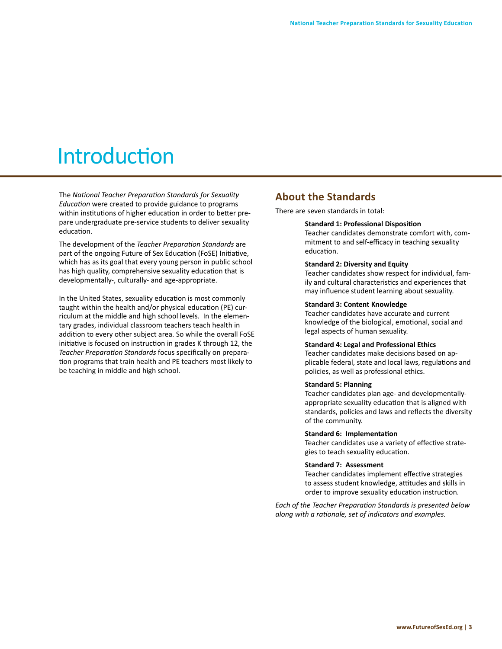# Introduction

The *National Teacher Preparation Standards for Sexuality Education* were created to provide guidance to programs within institutions of higher education in order to better prepare undergraduate pre-service students to deliver sexuality education.

The development of the *Teacher Preparation Standards* are part of the ongoing Future of Sex Education (FoSE) Initiative, which has as its goal that every young person in public school has high quality, comprehensive sexuality education that is developmentally-, culturally- and age-appropriate.

In the United States, sexuality education is most commonly taught within the health and/or physical education (PE) curriculum at the middle and high school levels. In the elementary grades, individual classroom teachers teach health in addition to every other subject area. So while the overall FoSE initiative is focused on instruction in grades K through 12, the *Teacher Preparation Standards* focus specifically on preparation programs that train health and PE teachers most likely to be teaching in middle and high school.

# **About the Standards**

There are seven standards in total:

#### **Standard 1: Professional Disposition**

Teacher candidates demonstrate comfort with, commitment to and self-efficacy in teaching sexuality education.

#### **Standard 2: Diversity and Equity**

Teacher candidates show respect for individual, family and cultural characteristics and experiences that may influence student learning about sexuality.

#### **Standard 3: Content Knowledge**

Teacher candidates have accurate and current knowledge of the biological, emotional, social and legal aspects of human sexuality.

#### **Standard 4: Legal and Professional Ethics**

Teacher candidates make decisions based on applicable federal, state and local laws, regulations and policies, as well as professional ethics.

#### **Standard 5: Planning**

Teacher candidates plan age- and developmentallyappropriate sexuality education that is aligned with standards, policies and laws and reflects the diversity of the community.

#### **Standard 6: Implementation**

Teacher candidates use a variety of effective strategies to teach sexuality education.

#### **Standard 7: Assessment**

Teacher candidates implement effective strategies to assess student knowledge, attitudes and skills in order to improve sexuality education instruction.

*Each of the Teacher Preparation Standards is presented below along with a rationale, set of indicators and examples.*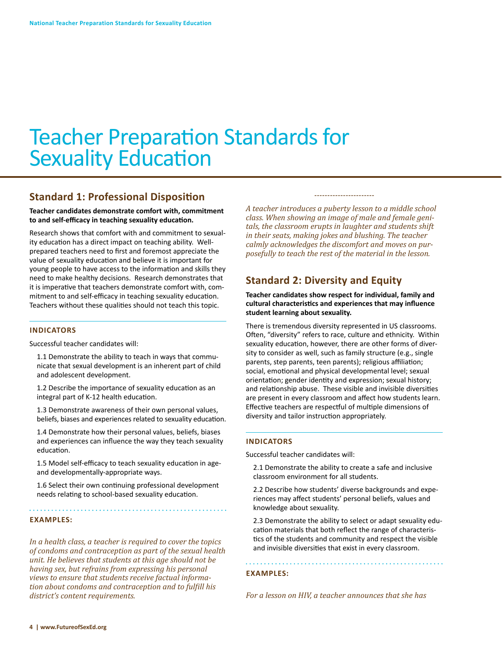# Teacher Preparation Standards for Sexuality Education

# **Standard 1: Professional Disposition**

**Teacher candidates demonstrate comfort with, commitment to and self-efficacy in teaching sexuality education.** 

Research shows that comfort with and commitment to sexuality education has a direct impact on teaching ability. Wellprepared teachers need to first and foremost appreciate the value of sexuality education and believe it is important for young people to have access to the information and skills they need to make healthy decisions. Research demonstrates that it is imperative that teachers demonstrate comfort with, commitment to and self-efficacy in teaching sexuality education. Teachers without these qualities should not teach this topic.

#### **Indicators**

Successful teacher candidates will:

1.1 Demonstrate the ability to teach in ways that communicate that sexual development is an inherent part of child and adolescent development.

1.2 Describe the importance of sexuality education as an integral part of K-12 health education.

1.3 Demonstrate awareness of their own personal values, beliefs, biases and experiences related to sexuality education.

1.4 Demonstrate how their personal values, beliefs, biases and experiences can influence the way they teach sexuality education.

1.5 Model self-efficacy to teach sexuality education in ageand developmentally-appropriate ways.

1.6 Select their own continuing professional development needs relating to school-based sexuality education.

#### **Examples:**

*In a health class, a teacher is required to cover the topics of condoms and contraception as part of the sexual health unit. He believes that students at this age should not be having sex, but refrains from expressing his personal views to ensure that students receive factual information about condoms and contraception and to fulfill his district's content requirements.* 

*A teacher introduces a puberty lesson to a middle school class. When showing an image of male and female genitals, the classroom erupts in laughter and students shift in their seats, making jokes and blushing. The teacher calmly acknowledges the discomfort and moves on purposefully to teach the rest of the material in the lesson.*

*-----------------------*

# **Standard 2: Diversity and Equity**

**Teacher candidates show respect for individual, family and cultural characteristics and experiences that may influence student learning about sexuality.** 

There is tremendous diversity represented in US classrooms. Often, "diversity" refers to race, culture and ethnicity. Within sexuality education, however, there are other forms of diversity to consider as well, such as family structure (e.g., single parents, step parents, teen parents); religious affiliation; social, emotional and physical developmental level; sexual orientation; gender identity and expression; sexual history; and relationship abuse. These visible and invisible diversities are present in every classroom and affect how students learn. Effective teachers are respectful of multiple dimensions of diversity and tailor instruction appropriately.

#### **Indicators**

Successful teacher candidates will:

2.1 Demonstrate the ability to create a safe and inclusive classroom environment for all students.

2.2 Describe how students' diverse backgrounds and experiences may affect students' personal beliefs, values and knowledge about sexuality.

2.3 Demonstrate the ability to select or adapt sexuality education materials that both reflect the range of characteristics of the students and community and respect the visible and invisible diversities that exist in every classroom.

#### **Examples:**

*For a lesson on HIV, a teacher announces that she has*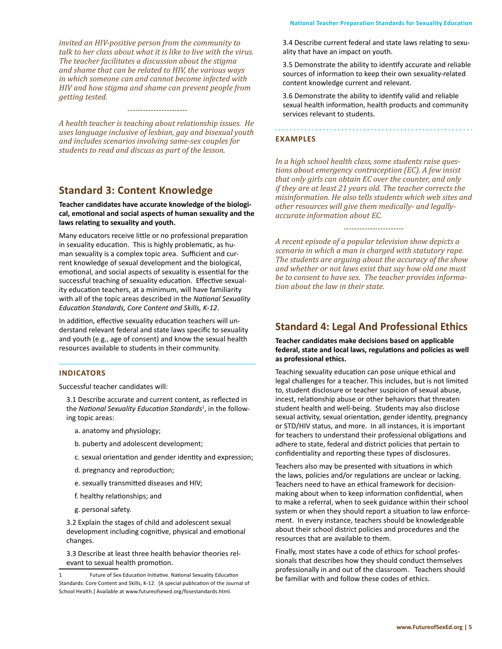*invited an HIV-positive person from the community to talk to her class about what it is like to live with the virus. The teacher facilitates a discussion about the stigma and shame that can be related to HIV, the various ways in which someone can and cannot become infected with HIV and how stigma and shame can prevent people from getting tested.* 

*A health teacher is teaching about relationship issues. He uses language inclusive of lesbian, gay and bisexual youth and includes scenarios involving same-sex couples for students to read and discuss as part of the lesson.*

*-----------------------*

# **Standard 3: Content Knowledge**

**Teacher candidates have accurate knowledge of the biological, emotional and social aspects of human sexuality and the laws relating to sexuality and youth.**

Many educators receive little or no professional preparation in sexuality education. This is highly problematic, as human sexuality is a complex topic area. Sufficient and current knowledge of sexual development and the biological, emotional, and social aspects of sexuality is essential for the successful teaching of sexuality education. Effective sexuality education teachers, at a minimum, will have familiarity with all of the topic areas described in the *National Sexuality Education Standards, Core Content and Skills, K-12*.

In addition, effective sexuality education teachers will understand relevant federal and state laws specific to sexuality and youth (e.g., age of consent) and know the sexual health resources available to students in their community.

#### **Indicators**

Successful teacher candidates will:

3.1 Describe accurate and current content, as reflected in the *National Sexuality Education Standards*<sup>1</sup> , in the following topic areas:

- a. anatomy and physiology;
- b. puberty and adolescent development;
- c. sexual orientation and gender identity and expression;
- d. pregnancy and reproduction;
- e. sexually transmitted diseases and HIV;
- f. healthy relationships; and
- g. personal safety.

3.2 Explain the stages of child and adolescent sexual development including cognitive, physical and emotional changes.

3.3 Describe at least three health behavior theories relevant to sexual health promotion.

3.4 Describe current federal and state laws relating to sexuality that have an impact on youth.

3.5 Demonstrate the ability to identify accurate and reliable sources of information to keep their own sexuality-related content knowledge current and relevant.

3.6 Demonstrate the ability to identify valid and reliable sexual health information, health products and community services relevant to students.

#### **Examples**

*In a high school health class, some students raise questions about emergency contraception (EC). A few insist that only girls can obtain EC over the counter, and only if they are at least 21 years old. The teacher corrects the misinformation. He also tells students which web sites and other resources will give them medically- and legallyaccurate information about EC.*

*-----------------------*

*A recent episode of a popular television show depicts a scenario in which a man is charged with statutory rape. The students are arguing about the accuracy of the show and whether or not laws exist that say how old one must be to consent to have sex. The teacher provides information about the law in their state.*

### **Standard 4: Legal And Professional Ethics**

**Teacher candidates make decisions based on applicable federal, state and local laws, regulations and policies as well as professional ethics.** 

Teaching sexuality education can pose unique ethical and legal challenges for a teacher. This includes, but is not limited to, student disclosure or teacher suspicion of sexual abuse, incest, relationship abuse or other behaviors that threaten student health and well-being. Students may also disclose sexual activity, sexual orientation, gender identity, pregnancy or STD/HIV status, and more. In all instances, it is important for teachers to understand their professional obligations and adhere to state, federal and district policies that pertain to confidentiality and reporting these types of disclosures.

Teachers also may be presented with situations in which the laws, policies and/or regulations are unclear or lacking. Teachers need to have an ethical framework for decisionmaking about when to keep information confidential, when to make a referral, when to seek guidance within their school system or when they should report a situation to law enforcement. In every instance, teachers should be knowledgeable about their school district policies and procedures and the resources that are available to them.

Finally, most states have a code of ethics for school professionals that describes how they should conduct themselves professionally in and out of the classroom. Teachers should be familiar with and follow these codes of ethics.

<sup>1</sup> Future of Sex Education Initiative. National Sexuality Education Standards: Core Content and Skills, K-12. [A special publication of the Journal of School Health.] Available at www.futureofsexed.org/fosestandards.html.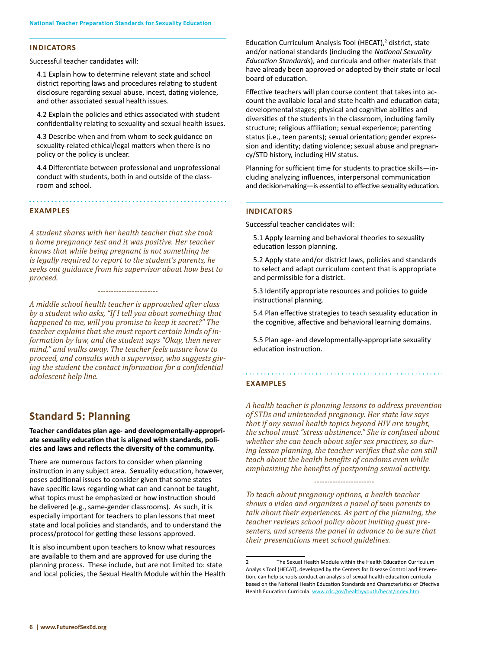#### **Indicators**

Successful teacher candidates will:

4.1 Explain how to determine relevant state and school district reporting laws and procedures relating to student disclosure regarding sexual abuse, incest, dating violence, and other associated sexual health issues.

4.2 Explain the policies and ethics associated with student confidentiality relating to sexuality and sexual health issues.

4.3 Describe when and from whom to seek guidance on sexuality-related ethical/legal matters when there is no policy or the policy is unclear.

4.4 Differentiate between professional and unprofessional conduct with students, both in and outside of the classroom and school.

#### **Examples**

*A student shares with her health teacher that she took a home pregnancy test and it was positive. Her teacher knows that while being pregnant is not something he is legally required to report to the student's parents, he seeks out guidance from his supervisor about how best to proceed.*

*-----------------------*

*A middle school health teacher is approached after class by a student who asks, "If I tell you about something that happened to me, will you promise to keep it secret?" The teacher explains that she must report certain kinds of information by law, and the student says "Okay, then never mind," and walks away. The teacher feels unsure how to proceed, and consults with a supervisor, who suggests giving the student the contact information for a confidential adolescent help line.*

### **Standard 5: Planning**

**Teacher candidates plan age- and developmentally-appropriate sexuality education that is aligned with standards, policies and laws and reflects the diversity of the community.**

There are numerous factors to consider when planning instruction in any subject area. Sexuality education, however, poses additional issues to consider given that some states have specific laws regarding what can and cannot be taught, what topics must be emphasized or how instruction should be delivered (e.g., same-gender classrooms). As such, it is especially important for teachers to plan lessons that meet state and local policies and standards, and to understand the process/protocol for getting these lessons approved.

It is also incumbent upon teachers to know what resources are available to them and are approved for use during the planning process. These include, but are not limited to: state and local policies, the Sexual Health Module within the Health Education Curriculum Analysis Tool (HECAT),<sup>2</sup> district, state and/or national standards (including the *National Sexuality Education Standards*), and curricula and other materials that have already been approved or adopted by their state or local board of education.

Effective teachers will plan course content that takes into account the available local and state health and education data; developmental stages; physical and cognitive abilities and diversities of the students in the classroom, including family structure; religious affiliation; sexual experience; parenting status (i.e., teen parents); sexual orientation; gender expression and identity; dating violence; sexual abuse and pregnancy/STD history, including HIV status.

Planning for sufficient time for students to practice skills—including analyzing influences, interpersonal communication and decision-making—is essential to effective sexuality education.

#### **Indicators**

Successful teacher candidates will:

5.1 Apply learning and behavioral theories to sexuality education lesson planning.

5.2 Apply state and/or district laws, policies and standards to select and adapt curriculum content that is appropriate and permissible for a district.

5.3 Identify appropriate resources and policies to guide instructional planning.

5.4 Plan effective strategies to teach sexuality education in the cognitive, affective and behavioral learning domains.

5.5 Plan age- and developmentally-appropriate sexuality education instruction.

#### **Examples**

*A health teacher is planning lessons to address prevention of STDs and unintended pregnancy. Her state law says that if any sexual health topics beyond HIV are taught, the school must "stress abstinence." She is confused about whether she can teach about safer sex practices, so during lesson planning, the teacher verifies that she can still teach about the health benefits of condoms even while emphasizing the benefits of postponing sexual activity.* 

*To teach about pregnancy options, a health teacher shows a video and organizes a panel of teen parents to talk about their experiences. As part of the planning, the teacher reviews school policy about inviting guest presenters, and screens the panel in advance to be sure that their presentations meet school guidelines.* 

<sup>2</sup> The Sexual Health Module within the Health Education Curriculum Analysis Tool (HECAT), developed by the Centers for Disease Control and Prevention, can help schools conduct an analysis of sexual health education curricula based on the National Health Education Standards and Characteristics of Effective Health Education Curricula. www.cdc.gov/healthyyouth/hecat/index.htm.